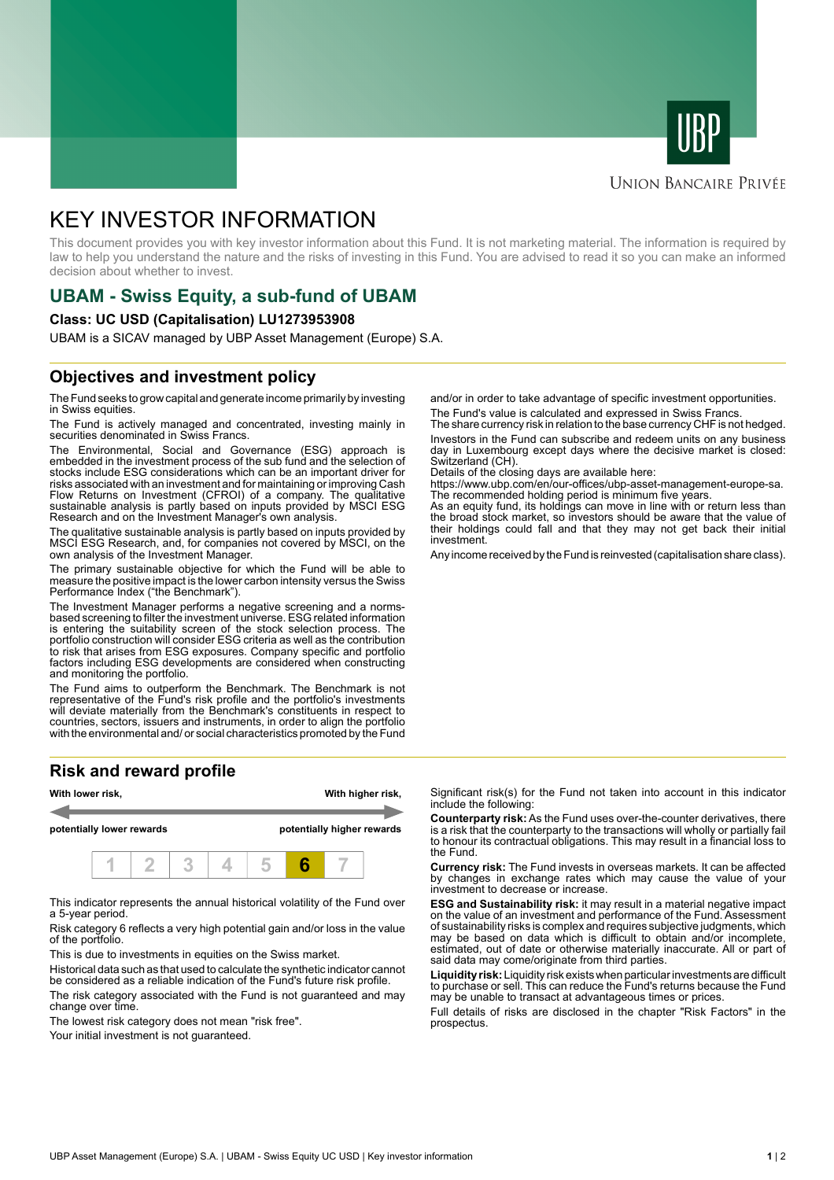



#### **UNION BANCAIRE PRIVÉE**

# KEY INVESTOR INFORMATION

This document provides you with key investor information about this Fund. It is not marketing material. The information is required by law to help you understand the nature and the risks of investing in this Fund. You are advised to read it so you can make an informed decision about whether to invest.

# **UBAM - Swiss Equity, a sub-fund of UBAM**

#### **Class: UC USD (Capitalisation) LU1273953908**

UBAM is a SICAV managed by UBP Asset Management (Europe) S.A.

### **Objectives and investment policy**

The Fund seeks to grow capital and generate income primarily by investing in Swiss equities.

The Fund is actively managed and concentrated, investing mainly in securities denominated in Swiss Francs.

The Environmental, Social and Governance (ESG) approach is embedded in the investment process of the sub fund and the selection of stocks include ESG considerations which can be an important driver for risks associated with an investment and for maintaining or improving Cash Flow Returns on Investment (CFROI) of a company. The qualitative sustainable analysis is partly based on inputs provided by MSCI ESG Research and on the Investment Manager's own analysis.

The qualitative sustainable analysis is partly based on inputs provided by MSCI ESG Research, and, for companies not covered by MSCI, on the own analysis of the Investment Manager.

The primary sustainable objective for which the Fund will be able to measure the positive impact is the lower carbon intensity versus the Swiss Performance Index ("the Benchmark").

The Investment Manager performs a negative screening and a normsbased screening to filter the investment universe. ESG related information is entering the suitability screen of the stock selection process. The portfolio construction will consider ESG criteria as well as the contribution to risk that arises from ESG exposures. Company specific and portfolio factors including ESG developments are considered when constructing and monitoring the portfolio.

The Fund aims to outperform the Benchmark. The Benchmark is not representative of the Fund's risk profile and the portfolio's investments will deviate materially from the Benchmark's constituents in respect to countries, sectors, issuers and instruments, in order to align the portfolio with the environmental and/ or social characteristics promoted by the Fund

## **Risk and reward profile**



This indicator represents the annual historical volatility of the Fund over a 5-year period.

Risk category 6 reflects a very high potential gain and/or loss in the value of the portfolio.

This is due to investments in equities on the Swiss market.

Historical data such as that used to calculate the synthetic indicator cannot be considered as a reliable indication of the Fund's future risk profile. The risk category associated with the Fund is not guaranteed and may change over time.

The lowest risk category does not mean "risk free".

Your initial investment is not guaranteed.

and/or in order to take advantage of specific investment opportunities. The Fund's value is calculated and expressed in Swiss Francs.

The share currency risk in relation to the base currency CHF is not hedged. Investors in the Fund can subscribe and redeem units on any business day in Luxembourg except days where the decisive market is closed: Switzerland (CH).

Details of the closing days are available here:

https://www.ubp.com/en/our-offices/ubp-asset-management-europe-sa. The recommended holding period is minimum five years.

As an equity fund, its holdings can move in line with or return less than the broad stock market, so investors should be aware that the value of their holdings could fall and that they may not get back their initial investment.

Any income received by the Fund is reinvested (capitalisation share class).

Significant risk(s) for the Fund not taken into account in this indicator include the following:

**Counterparty risk:** As the Fund uses over-the-counter derivatives, there is a risk that the counterparty to the transactions will wholly or partially fail to honour its contractual obligations. This may result in a financial loss to the Fund.

**Currency risk:** The Fund invests in overseas markets. It can be affected by changes in exchange rates which may cause the value of your investment to decrease or increase.

**ESG and Sustainability risk:** it may result in a material negative impact on the value of an investment and performance of the Fund. Assessment of sustainability risks is complex and requires subjective judgments, which may be based on data which is difficult to obtain and/or incomplete, estimated, out of date or otherwise materially inaccurate. All or part of said data may come/originate from third parties.

**Liquidity risk:** Liquidity risk exists when particular investments are difficult to purchase or sell. This can reduce the Fund's returns because the Fund may be unable to transact at advantageous times or prices.

Full details of risks are disclosed in the chapter "Risk Factors" in the prospectus.